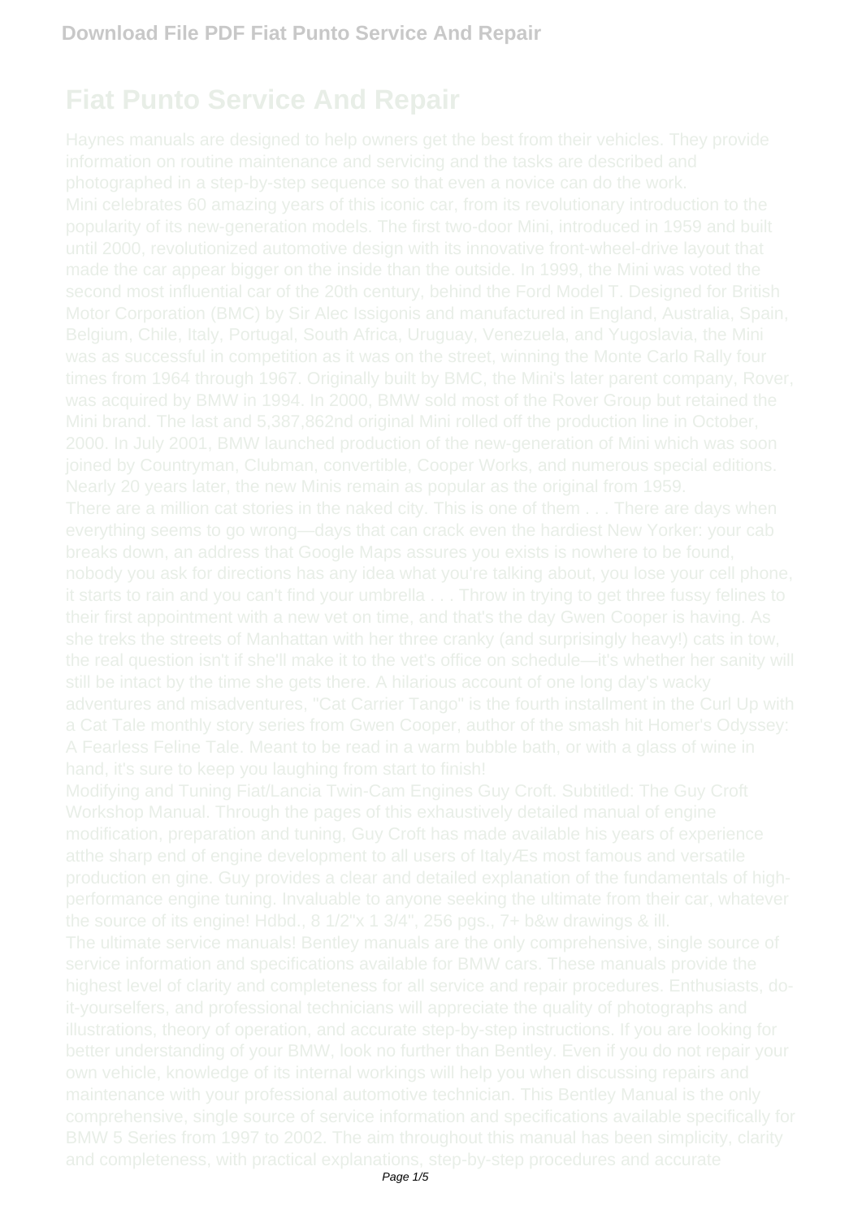# **Fiat Punto Service And Repair**

was as successful in competition as it was on the street, winning the Monte Carlo Rally four Mini brand. The last and 5,387,862nd original Mini rolled off the production line in October, the source of its engine! Hdbd., 8 1/2"x 1 3/4", 256 pgs., 7+ b&w drawings & ill.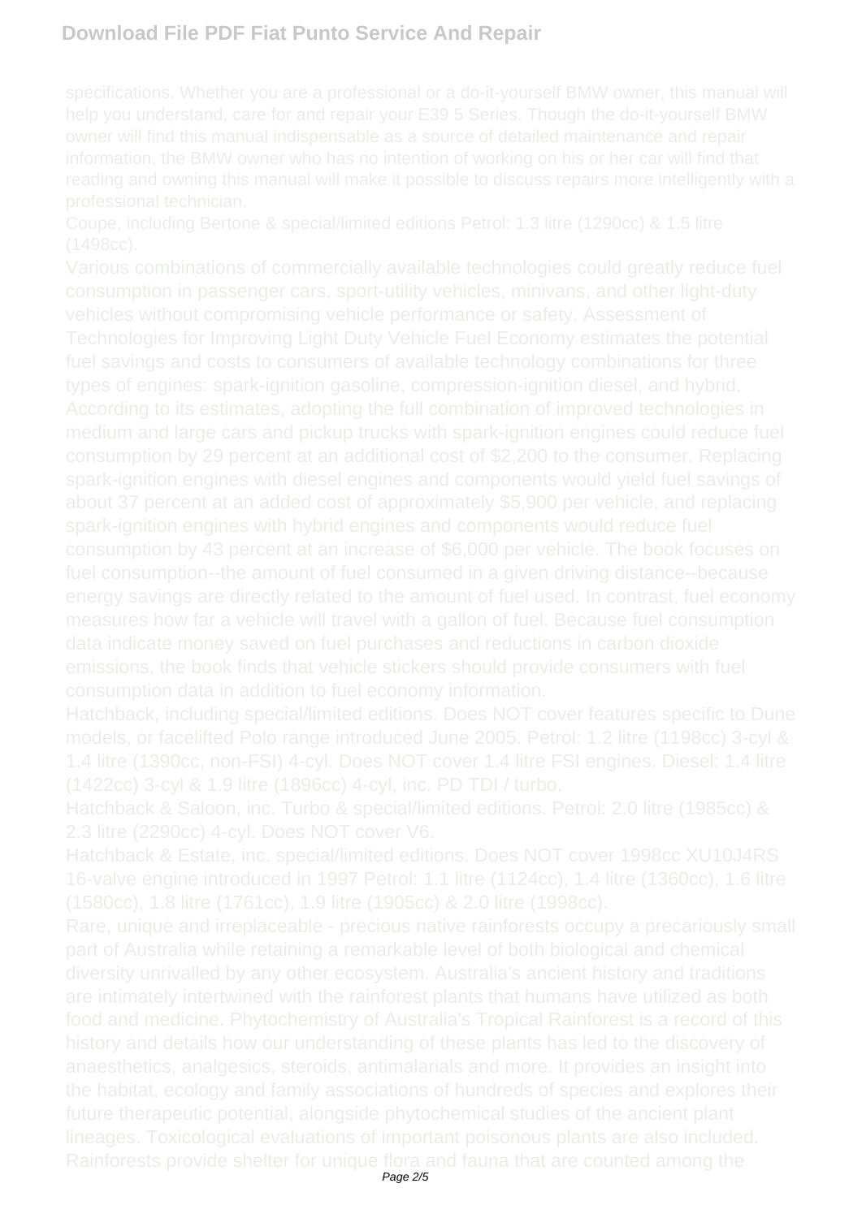Coupe, including Bertone & special/limited editions Petrol: 1.3 litre (1290cc) & 1.5 litre

about 37 percent at an added cost of approximately \$5,900 per vehicle, and replacing

Hatchback, including special/limited editions. Does NOT cover features specific to Dune models, or facelifted Polo range introduced June 2005. Petrol: 1.2 litre (1198cc) 3-cyl & 1.4 litre (1390cc, non-FSI) 4-cyl. Does NOT cover 1.4 litre FSI engines. Diesel: 1.4 litre

Hatchback & Saloon, inc. Turbo & special/limited editions. Petrol: 2.0 litre (1985cc) & 2.3 litre (2290cc) 4-cyl. Does NOT cover V6.

16-valve engine introduced in 1997 Petrol: 1.1 litre (1124cc), 1.4 litre (1360cc), 1.6 litre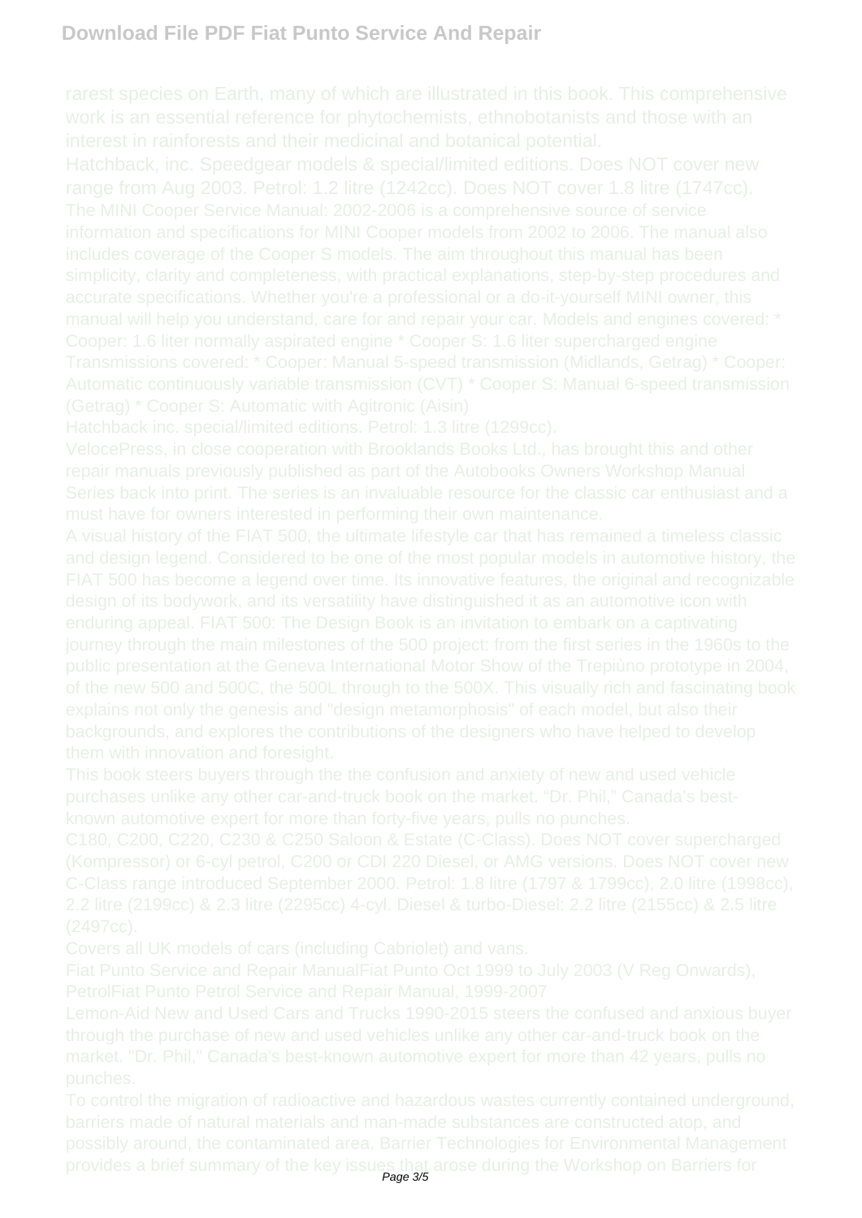Hatchback, inc. Speedgear models & special/limited editions. Does NOT cover new range from Aug 2003. Petrol: 1.2 litre (1242cc). Does NOT cover 1.8 litre (1747cc). manual will help you understand, care for and repair your car. Models and engines covered: \* Cooper: 1.6 liter normally aspirated engine \* Cooper S: 1.6 liter supercharged engine

Page 3/5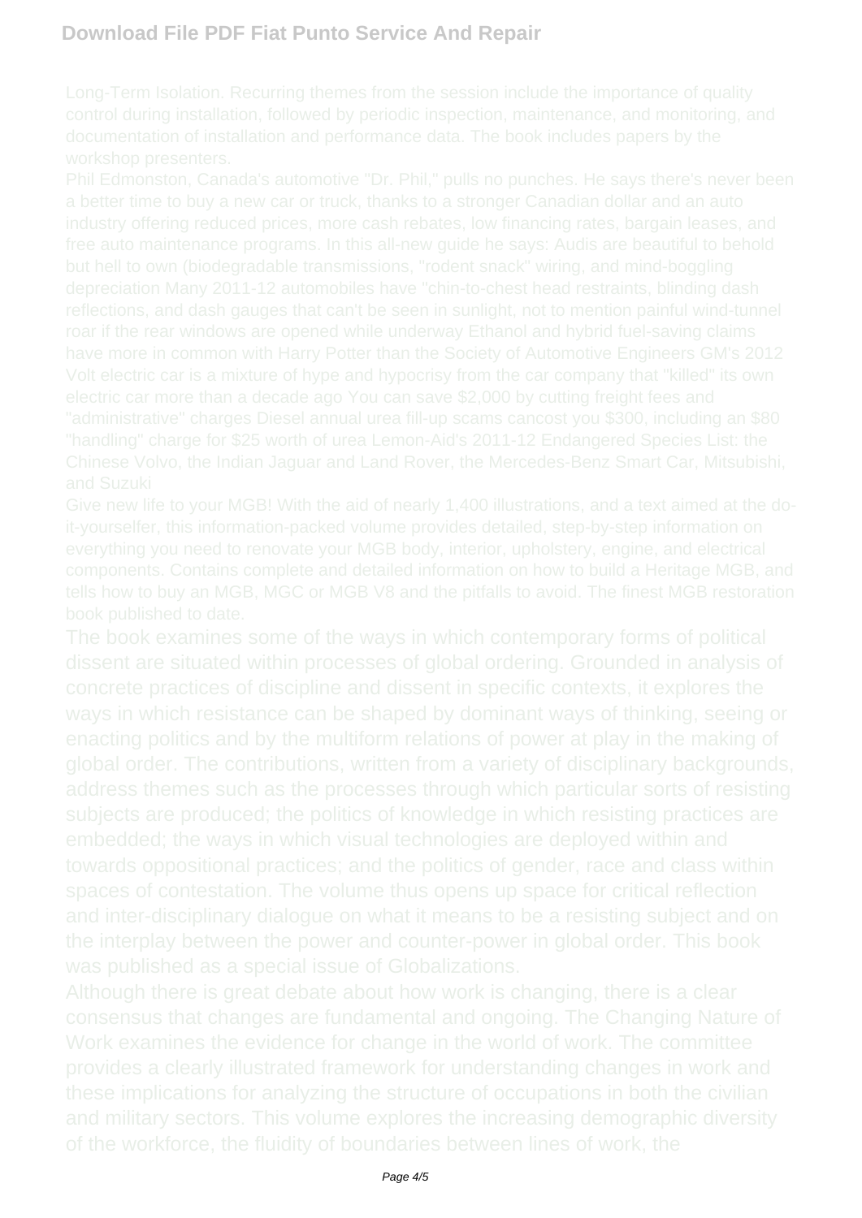depreciation Many 2011-12 automobiles have "chin-to-chest head restraints, blinding dash Chinese Volvo, the Indian Jaguar and Land Rover, the Mercedes-Benz Smart Car, Mitsubishi,

Give new life to your MGB! With the aid of nearly 1,400 illustrations, and a text aimed at the doeverything you need to renovate your MGB body, interior, upholstery, engine, and electrical components. Contains complete and detailed information on how to build a Heritage MGB, and

consensus that changes are fundamental and ongoing. The Changing Nature of